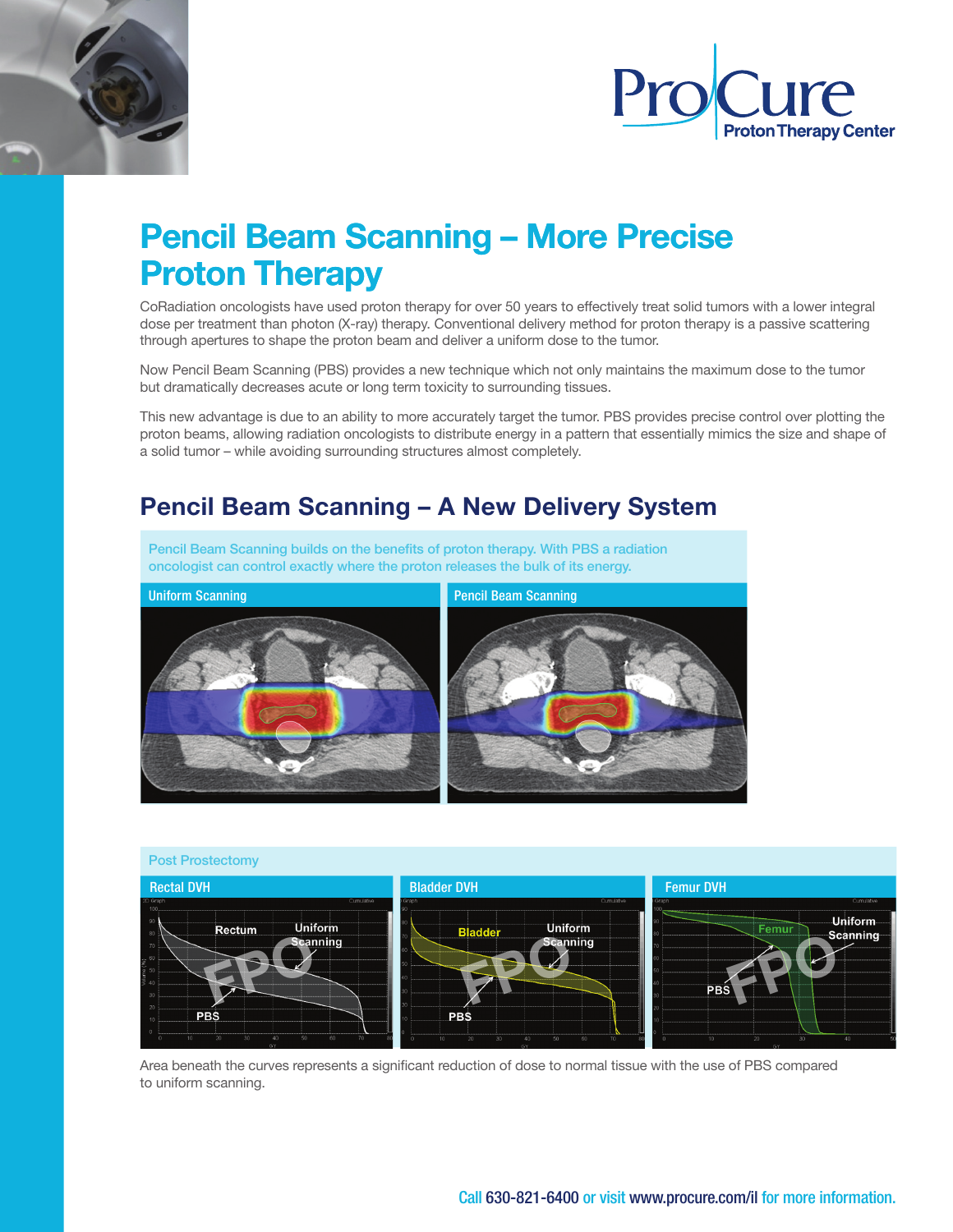



# Pencil Beam Scanning – More Precise Proton Therapy

CoRadiation oncologists have used proton therapy for over 50 years to effectively treat solid tumors with a lower integral dose per treatment than photon (X-ray) therapy. Conventional delivery method for proton therapy is a passive scattering through apertures to shape the proton beam and deliver a uniform dose to the tumor.

Now Pencil Beam Scanning (PBS) provides a new technique which not only maintains the maximum dose to the tumor but dramatically decreases acute or long term toxicity to surrounding tissues.

This new advantage is due to an ability to more accurately target the tumor. PBS provides precise control over plotting the proton beams, allowing radiation oncologists to distribute energy in a pattern that essentially mimics the size and shape of a solid tumor – while avoiding surrounding structures almost completely.

## Pencil Beam Scanning – A New Delivery System

Pencil Beam Scanning builds on the benefts of proton therapy. With PBS a radiation oncologist can control exactly where the proton releases the bulk of its energy.





Area beneath the curves represents a significant reduction of dose to normal tissue with the use of PBS compared to uniform scanning.